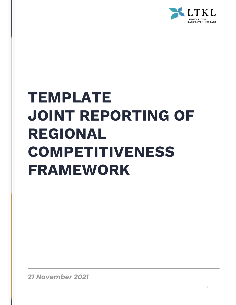

# **TEMPLATE JOINT REPORTING OF REGIONAL COMPETITIVENESS FRAMEWORK**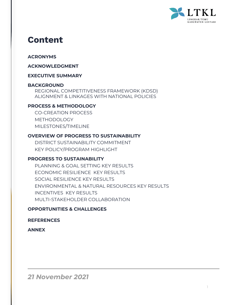

## **Content**

## **ACRONYMS**

#### **ACKNOWLEDGMENT**

#### **EXECUTIVE SUMMARY**

#### **BACKGROUND**

REGIONAL COMPETITIVENESS FRAMEWORK (KDSD) ALIGNMENT & LINKAGES WITH NATIONAL POLICIES

## **PROCESS & METHODOLOGY**

CO-CREATION PROCESS METHODOLOGY MILESTONES/TIMELINE

## **OVERVIEW OF PROGRESS TO SUSTAINABILITY**

DISTRICT SUSTAINABILITY COMMITMENT KEY POLICY/PROGRAM HIGHLIGHT

## **PROGRESS TO SUSTAINABILITY**

PLANNING & GOAL SETTING KEY RESULTS ECONOMIC RESILIENCE KEY RESULTS SOCIAL RESILIENCE KEY RESULTS ENVIRONMENTAL & NATURAL RESOURCES KEY RESULTS INCENTIVES KEY RESULTS MULTI-STAKEHOLDER COLLABORATION

#### **OPPORTUNITIES & CHALLENGES**

#### **REFERENCES**

**ANNEX**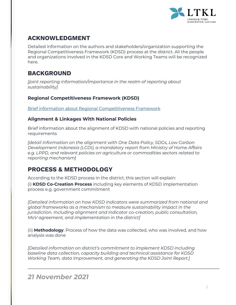

## **ACKNOWLEDGMENT**

Detailed information on the authors and stakeholders/organization supporting the Regional Competitiveness Framework (KDSD) process at the district. All the people and organizations involved in the KDSD Core and Working Teams will be recognized here.

## **BACKGROUND**

*[joint reporting information/importance in the realm of reporting about sustainability]* 

## **Regional Competitiveness Framework (KDSD)**

[Brief information about Regional Competitiveness Framework](https://www.kabupatenlestari.org/dokumen/kerangka-daya-saing-daerah-kdsd-booklet-eng/)

## **Alignment & Linkages With National Policies**

Brief information about the alignment of KDSD with national policies and reporting requirements

*[detail information on the alignment with One Data Policy, SDGs, Low Carbon Development Indonesia (LCDI), a mandatory report from Ministry of Home Affairs e.g. LPPD, and relevant policies on agriculture or commodities sectors related to reporting mechanism]*

## **PROCESS & METHODOLOGY**

According to the KDSD process in the district, this section will explain:

(i) **KDSD Co-Creation Process** including key elements of KDSD implementation process e.g. government commitment

*[Detailed information on how KDSD indicators were summarized from national and global frameworks as a mechanism to measure sustainability impact in the jurisdiction. Including alignment and indicator co-creation, public consultation, MoV agreement, and implementation in the district]*

(ii) **Methodology**: Process of how the data was collected, who was involved, and how analysis was done

*[Detailed information on district's commitment to implement KDSD including baseline data collection, capacity building and technical assistance for KDSD Working Team, data improvement, and generating the KDSD Joint Report.]*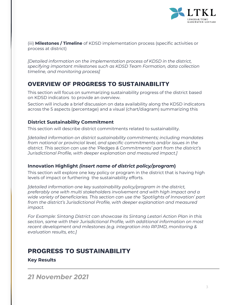

(iii) **Milestones / Timeline** of KDSD implementation process (specific activities or process at district)

*[Detailed information on the implementation process of KDSD in the district, specifying important milestones such as KDSD Team Formation, data collection timeline, and monitoring process]*

## **OVERVIEW OF PROGRESS TO SUSTAINABILITY**

This section will focus on summarizing sustainability progress of the district based on KDSD indicators to provide an overview.

Section will include a brief discussion on data availability along the KDSD indicators across the 5 aspects (percentage) and a visual (chart/diagram) summarizing this

## **District Sustainability Commitment**

This section will describe district commitments related to sustainability.

*[detailed information on district sustainability commitments; including mandates from national or provincial level, and specific commitments and/or issues in the district. This section can use the 'Pledges & Commitments' part from the district's Jurisdictional Profile, with deeper explanation and measured impact.]*

## **Innovation Highlight** *(insert name of district policy/program***)**

This section will explore one key policy or program in the district that is having high levels of impact or furthering the sustainability efforts.

*[detailed information one key sustainability policy/program in the district, preferably one with multi stakeholders involvement and with high impact and a wide variety of beneficiaries. This section can use the 'Spotlights of Innovation' part from the district's Jurisdictional Profile, with deeper explanation and measured impact.*

*For Example: Sintang District can showcase its Sintang Lestari Action Plan in this section, same with their Jurisdictional Profile, with additional information on most recent development and milestones (e.g. integration into RPJMD, monitoring & evaluation results, etc.]*

## **PROGRESS TO SUSTAINABILITY**

**Key Results**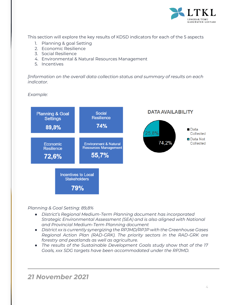

This section will explore the key results of KDSD indicators for each of the 5 aspects

- 1. Planning & goal Setting
- 2. Economic Resilience
- 3. Social Resilience
- 4. Environmental & Natural Resources Management
- 5. Incentives

*[Information on the overall data collection status and summary of results on each indicator.*

*Example:*



*Planning & Goal Setting: 89,8%*

- *District's Regional Medium-Term Planning document has incorporated Strategic Environmental Assessment (SEA) and is also aligned with National and Provincial Medium-Term Planning document*
- *District xx is currently synergizing the RPJMD/RPJP with the Greenhouse Gases Regional Action Plan (RAD-GRK). The priority sectors in the RAD-GRK are forestry and peatlands as well as agriculture.*
- *The results of the Sustainable Development Goals study show that of the 17 Goals, xxx SDG targets have been accommodated under the RPJMD.*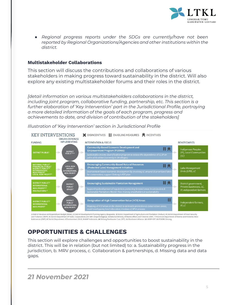

● *Regional progress reports under the SDGs are currently/have not been reported by Regional Organizations/Agencies and other institutions within the district.*

#### **Multistakeholder Collaborations**

This section will discuss the contributions and collaborations of various stakeholders in making progress toward sustainability in the district. Will also explore any existing multistakeholder forums and their roles in the district.

*[detail information on various multistakeholders collaborations in the district, including joint program, collaborative funding, partnership, etc. This section is a further elaboration of 'Key Intervention' part in the Jurisdictional Profile, portraying a more detailed information of the goals of each program, progress and achievements to date, and division of contribution of the stakeholders]*

**KEY INTERVENTIONS** X DISINCENTIVES E ENABLING MEASURES & INCENTIVES ORGANIZATION(S) IMPI EMENTING **FUNDING INTERVENTION & FOCUS BENEFICIARIES Community-Based Economic Development and** 目 digenous Peoples **Empowerment Program (P2EMAS) DISTRICT** oowerment Program (P2EMAS)<br>sinable income diversification program to reduce the dependence of LC/IP on<br>oil & rubber (currently in 14 villages) **DISTRICT PUBLIC<sup>1</sup>** (IP), Local Communities  $uci$ **Encouraging Community-Based Natural Resources** 目鱼 (Protected Lake) Management Initiatives Lake Management<br>Units (LPD), LC -<br>Environment-based economic development by involving LC around 10 prioritized lak<br>for concentation: support Sintaga's KEE plan **Encouraging Sustainable Plantation Management** EI Q District government, Private businesses, LC,<br>IP, Independent farmers PUBLIC<sup>3</sup><br>OTHER<sup>1</sup> **PROFIT** Designation of High Conservation Value (HCV) Areas 目 DISTRICT PUBLIC<sup>2,</sup><br>INTERNATIONAL<br>NON-PROFIT<sup>9</sup>  $IPIC$ 

*Illustration of 'Key Intervention' section in Jurisdictional Profile*

1 District Revenue and Expenditure Budget (APBD). 2 District Development Planning Agency (Bap peda). 3 District Department of Agriculture and Plantation (Disbun). 4 District Department of Food Secur and Fisheries (DKPP). 5 District Department of Trade, Cooperatives and SME (Disperindagkop). 6 National Ministry of Marine Affairs and Fisheries (KKP). 7 Provincial Department of Marine and Fisheries-West Kalimantan (DKP). 8 District Department of Environment (DLH). 9 WWF Indonesia. 10 Sintang Freshwater Care (SFC). 11 Rainforest Alliance. 12 UNDP-GEF. 13 FOKSBI Sintang.

## **OPPORTUNITIES & CHALLENGES**

This section will explore challenges and opportunities to boost sustainability in the district. This will be in relation (but not limited) to: a. Sustainability progress in the jurisdiction, b. MRV process, c. Collaboration & partnerships, d. Missing data and data gaps.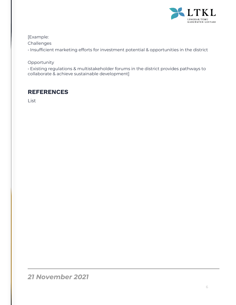

## [Example:

Challenges

• Insufficient marketing efforts for investment potential & opportunities in the district

## Opportunity

• Existing regulations & multistakeholder forums in the district provides pathways to collaborate & achieve sustainable development]

## **REFERENCES**

List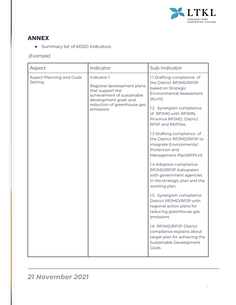

## **ANNEX**

● Summary list of KDSD Indicators

*[Example]*

| Aspect                               | Indicator                                                                                                                                                        | Sub-Indicator                                                                                                                                                                                                                                                                                                                                                                                                                                                                                                                                                                                                                                                                                                                                               |  |
|--------------------------------------|------------------------------------------------------------------------------------------------------------------------------------------------------------------|-------------------------------------------------------------------------------------------------------------------------------------------------------------------------------------------------------------------------------------------------------------------------------------------------------------------------------------------------------------------------------------------------------------------------------------------------------------------------------------------------------------------------------------------------------------------------------------------------------------------------------------------------------------------------------------------------------------------------------------------------------------|--|
| Aspect Planning and Goals<br>Setting | Indicator 1<br>Regional development plans<br>that support the<br>achievement of sustainable<br>development goals and<br>reduction of greenhouse gas<br>emissions | 1.1 Drafting compliance of<br>the District RPJMD/RPJP<br>based on Strategic<br><b>Environmental Assessment</b><br>(KLHS)<br>1.2. Synergism compliance<br>of RPJMD with RPJMN,<br>Province RPJMD, District<br>RPJP and RKPDes<br>1.3 Drafting compliance of<br>the District RPJMD/RPJP to<br>integrate Environmental<br>Protection and<br>Management Plan(RPPLH)<br>1.4 Adoption compliance<br>RPJMD/RPJP Kabupaten<br>with government agencies<br>in the strategic plan and the<br>working plan.<br>1.5. Synergism compliance<br>District RPJMD/RPJP with<br>regional action plans for<br>reducing greenhouse gas<br>emissions<br>1.6 RPJMD/RPJP District<br>compliance explains about<br>target plan for achieving the<br>Sustainable Development<br>Goals |  |
|                                      |                                                                                                                                                                  |                                                                                                                                                                                                                                                                                                                                                                                                                                                                                                                                                                                                                                                                                                                                                             |  |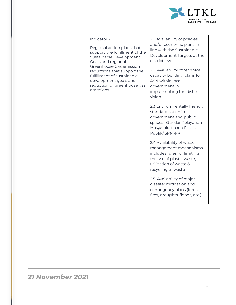

| Indicator 2<br>Regional action plans that<br>support the fulfillment of the                                                                                                                                | 2.1 Availability of policies<br>and/or economic plans in<br>line with the Sustainable                                                                                                            |  |
|------------------------------------------------------------------------------------------------------------------------------------------------------------------------------------------------------------|--------------------------------------------------------------------------------------------------------------------------------------------------------------------------------------------------|--|
| Sustainable Development<br>Goals and regional<br>Greenhouse Gas emission<br>reductions that support the<br>fulfillment of sustainable<br>development goals and<br>reduction of greenhouse gas<br>emissions | Development Targets at the<br>district level<br>2.2. Availability of technical<br>capacity building plans for<br><b>ASN within local</b><br>government in<br>implementing the district<br>vision |  |
|                                                                                                                                                                                                            | 2.3 Environmentally friendly<br>standardization in<br>government and public<br>spaces (Standar Pelayanan<br>Masyarakat pada Fasilitas<br>Publik/SPM-FP)                                          |  |
|                                                                                                                                                                                                            | 2.4 Availability of waste<br>management mechanisms;<br>includes rules for limiting<br>the use of plastic waste,<br>utilization of waste &<br>recycling of waste                                  |  |
|                                                                                                                                                                                                            | 2.5. Availability of major<br>disaster mitigation and<br>contingency plans (forest<br>fires, droughts, floods, etc.)                                                                             |  |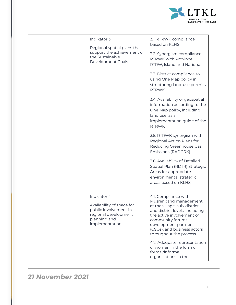

| Indikator 3<br>Regional spatial plans that<br>support the achievement of<br>the Sustainable<br>Development Goals            | 3.1. RTRWK compliance<br>based on KLHS<br>3.2. Synergism compliance<br><b>RTRWK with Province</b><br>RTRW, Island and National<br>3.3. District compliance to<br>using One Map policy in<br>structuring land-use permits<br><b>RTRWK</b><br>3.4. Availability of geospatial<br>information according to the<br>One Map policy, including<br>land use, as an<br>implementation guide of the<br><b>RTRWK</b><br>3.5. RTRWK synergism with<br>Regional Action Plans for<br>Reducing Greenhouse Gas<br><b>Emissions (RADGRK)</b><br>3.6. Availability of Detailed<br>Spatial Plan (RDTR) Strategic<br>Areas for appropriate<br>environmental strategic<br>areas based on KLHS |
|-----------------------------------------------------------------------------------------------------------------------------|---------------------------------------------------------------------------------------------------------------------------------------------------------------------------------------------------------------------------------------------------------------------------------------------------------------------------------------------------------------------------------------------------------------------------------------------------------------------------------------------------------------------------------------------------------------------------------------------------------------------------------------------------------------------------|
|                                                                                                                             |                                                                                                                                                                                                                                                                                                                                                                                                                                                                                                                                                                                                                                                                           |
| Indicator 4<br>Availability of space for<br>public involvement in<br>regional development<br>planning and<br>implementation | 4.1. Compliance with<br>Musrenbang management<br>at the village, sub-district<br>and district levels; including<br>the active involvement of<br>community forums,<br>development partners<br>(CSOs), and business actors<br>throughout the process<br>4.2. Adequate representation<br>of women in the form of<br>formal/informal<br>organizations in the                                                                                                                                                                                                                                                                                                                  |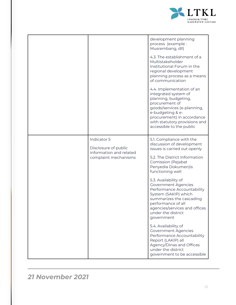

|                                                                                        | development planning<br>process (example:<br>Musrembang, dll)<br>4.3. The establishment of a<br>Multistakeholder<br>Institutional Forum in the<br>regional development<br>planning process as a means<br>of communication<br>4.4. Implementation of an<br>integrated system of<br>planning, budgeting,<br>procurement of<br>goods/services (e-planning,<br>e-budgeting & e-<br>procurement) in accordance<br>with statutory provisions and<br>accessible to the public                                                                                                                                                |
|----------------------------------------------------------------------------------------|-----------------------------------------------------------------------------------------------------------------------------------------------------------------------------------------------------------------------------------------------------------------------------------------------------------------------------------------------------------------------------------------------------------------------------------------------------------------------------------------------------------------------------------------------------------------------------------------------------------------------|
| Indicator 5<br>Disclosure of public<br>information and related<br>complaint mechanisms | 5.1. Compliance with the<br>discussion of development<br>issues is carried out openly<br>5.2. The District Information<br>Comission (Pejabat<br>Penyedia Dokumen)is<br>functioning well<br>5.3. Availability of<br><b>Government Agencies</b><br>Performance Accountability<br>System (SAKIP) which<br>summarizes the cascading<br>performance of all<br>agencies/services and offices<br>under the district<br>government<br>5.4. Availability of<br><b>Government Agencies</b><br>Performance Accountability<br>Report (LAKIP) all<br>Agency/Dinas and Offices<br>under the district<br>government to be accessible |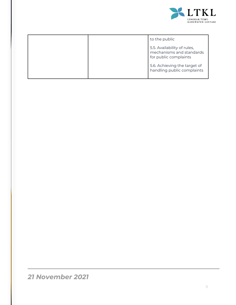

|  | to the public                                                                    |
|--|----------------------------------------------------------------------------------|
|  | 5.5. Availability of rules,<br>mechanisms and standards<br>for public complaints |
|  | 5.6. Achieving the target of<br>handling public complaints                       |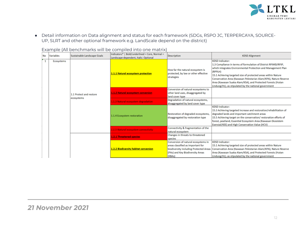

● Detail information on Data alignment and status for each framework (SDGs, RSPO JC, TERPERCAYA, SOURCE-UP, SLRT and other optional framework e.g. LandScale depend on the district)

|              |            |                                       | באסחורףוס ון זוו אסווסווויוסווגט זיזווו אס כסוווףווכס ווונט טווס ווווסגרואן             |                                                                                                                                                                  |                                                                                                                                                                                                                                                                                                                                                                                                                                   |
|--------------|------------|---------------------------------------|-----------------------------------------------------------------------------------------|------------------------------------------------------------------------------------------------------------------------------------------------------------------|-----------------------------------------------------------------------------------------------------------------------------------------------------------------------------------------------------------------------------------------------------------------------------------------------------------------------------------------------------------------------------------------------------------------------------------|
| No           | Variables  | Sustainable Landscape Goals           | Indicators*   Bold/underlined = Core, Normal =<br>Landscape-dependent, Italic: Optional | <b>Description</b>                                                                                                                                               | <b>KDSD Alignment</b>                                                                                                                                                                                                                                                                                                                                                                                                             |
| $\mathbf{1}$ | Ecosystems | 1.1 Protect and restore<br>ecosystems | 1.1.1 Natural ecosystem protection                                                      | How far the natural ecosystem is<br>protected, by law or other effective<br>strategies                                                                           | <b>KDSD Indicator:</b><br>1.3 Compliance in terms of formulation of District RPJMD/RPJP,<br>which integrates Environmental Protection and Management Plan<br>(RPPLH)<br>15.1 Achieving targeted size of protected areas within Nature<br>Conservation Area (Kawasan Pelestarian Alam/KPA), Nature Reserve<br>Area (Kawasan Suaka Alam/KSA), and Protected Forests (Hutan<br>Lindung/HL), as stipulated by the national government |
|              |            |                                       | 1.1.2 Natural ecosystem conversion                                                      | Conversion of natural ecosystems to<br>other land uses, disaggregated by<br>land cover type                                                                      |                                                                                                                                                                                                                                                                                                                                                                                                                                   |
|              |            |                                       | .1.3 Natural ecosystem degradation                                                      | Degradation of natural ecosystems,<br>disaggregated by land cover type                                                                                           |                                                                                                                                                                                                                                                                                                                                                                                                                                   |
|              |            |                                       | 1.1.4 Ecosystem restoration                                                             | Restoration of degraded ecosystems,<br>disaggregated by restoration type                                                                                         | <b>KDSD Indicator:</b><br>15.3 Achieving targeted increase and restoration/rehabilitation of<br>degraded lands and important catchment areas<br>15.5 Achieving target on the conservation/restoration efforts of<br>forest, peatland, Essential Ecosystem Area (Kawasan Ekosistem<br>Esensial/KEE) and High Conservation Value (HCV)                                                                                              |
|              |            |                                       | 1.5 Natural ecosystem connectivity                                                      | Connectivity & fragmentation of the<br>natural ecosystem                                                                                                         |                                                                                                                                                                                                                                                                                                                                                                                                                                   |
|              |            |                                       | 1.2.1 Threatened species                                                                | Changes in threats to threatened<br>species                                                                                                                      |                                                                                                                                                                                                                                                                                                                                                                                                                                   |
|              |            |                                       | 1.2.2 Biodiversity habitat conversion                                                   | Conversion of natural ecosystems in<br>areas classified as important for<br>biodiversity including Protected Areas<br>(PAs) and Key Biodiversity Areas<br>(KBAs) | <b>KDSD Indicator:</b><br>15.1 Achieving targeted size of protected areas within Nature<br>Conservation Area (Kawasan Pelestarian Alam/KPA), Nature Reserve<br>Area (Kawasan Suaka Alam/KSA), and Protected Forests (Hutan<br>Lindung/HL), as stipulated by the national government                                                                                                                                               |

Example (All benchmarks will be compiled into one matrix)